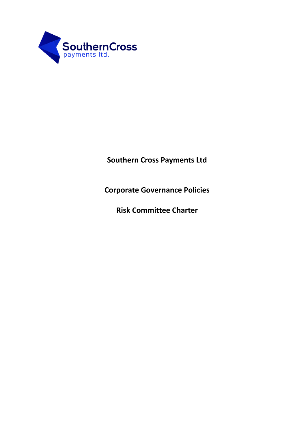

**Southern Cross Payments Ltd**

**Corporate Governance Policies**

**Risk Committee Charter**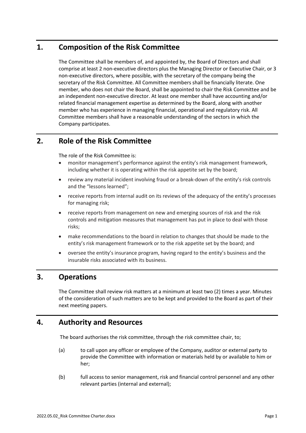# **1. Composition of the Risk Committee**

The Committee shall be members of, and appointed by, the Board of Directors and shall comprise at least 2 non-executive directors plus the Managing Director or Executive Chair, or 3 non-executive directors, where possible, with the secretary of the company being the secretary of the Risk Committee. All Committee members shall be financially literate. One member, who does not chair the Board, shall be appointed to chair the Risk Committee and be an independent non-executive director. At least one member shall have accounting and/or related financial management expertise as determined by the Board, along with another member who has experience in managing financial, operational and regulatory risk. All Committee members shall have a reasonable understanding of the sectors in which the Company participates.

# **2. Role of the Risk Committee**

The role of the Risk Committee is:

- monitor management's performance against the entity's risk management framework, including whether it is operating within the risk appetite set by the board;
- review any material incident involving fraud or a break-down of the entity's risk controls and the "lessons learned";
- receive reports from internal audit on its reviews of the adequacy of the entity's processes for managing risk;
- receive reports from management on new and emerging sources of risk and the risk controls and mitigation measures that management has put in place to deal with those risks;
- make recommendations to the board in relation to changes that should be made to the entity's risk management framework or to the risk appetite set by the board; and
- oversee the entity's insurance program, having regard to the entity's business and the insurable risks associated with its business.

# **3. Operations**

The Committee shall review risk matters at a minimum at least two (2) times a year. Minutes of the consideration of such matters are to be kept and provided to the Board as part of their next meeting papers.

# **4. Authority and Resources**

The board authorises the risk committee, through the risk committee chair, to;

- (a) to call upon any officer or employee of the Company, auditor or external party to provide the Committee with information or materials held by or available to him or her;
- (b) full access to senior management, risk and financial control personnel and any other relevant parties (internal and external);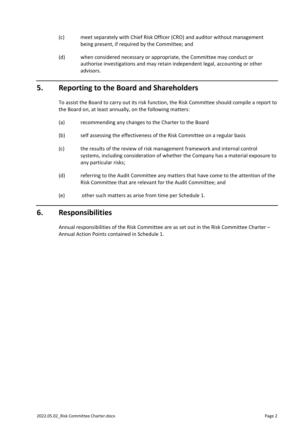- (c) meet separately with Chief Risk Officer (CRO) and auditor without management being present, if required by the Committee; and
- (d) when considered necessary or appropriate, the Committee may conduct or authorise investigations and may retain independent legal, accounting or other advisors.

# **5. Reporting to the Board and Shareholders**

To assist the Board to carry out its risk function, the Risk Committee should compile a report to the Board on, at least annually, on the following matters:

- (a) recommending any changes to the Charter to the Board
- (b) self assessing the effectiveness of the Risk Committee on a regular basis
- (c) the results of the review of risk management framework and internal control systems, including consideration of whether the Company has a material exposure to any particular risks;
- (d) referring to the Audit Committee any matters that have come to the attention of the Risk Committee that are relevant for the Audit Committee; and
- (e) other such matters as arise from time per Schedule 1.

## **6. Responsibilities**

Annual responsibilities of the Risk Committee are as set out in the Risk Committee Charter – Annual Action Points contained in Schedule 1.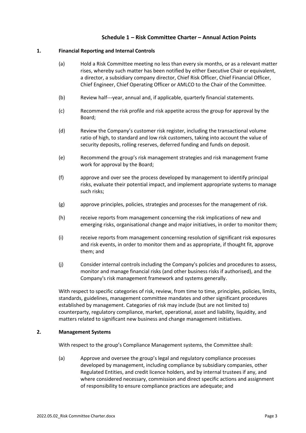## **Schedule 1 – Risk Committee Charter – Annual Action Points**

### **1. Financial Reporting and Internal Controls**

- (a) Hold a Risk Committee meeting no less than every six months, or as a relevant matter rises, whereby such matter has been notified by either Executive Chair or equivalent, a director, a subsidiary company director, Chief Risk Officer, Chief Financial Officer, Chief Engineer, Chief Operating Officer or AMLCO to the Chair of the Committee.
- (b) Review half---year, annual and, if applicable, quarterly financial statements.
- (c) Recommend the risk profile and risk appetite across the group for approval by the Board;
- (d) Review the Company's customer risk register, including the transactional volume ratio of high, to standard and low risk customers, taking into account the value of security deposits, rolling reserves, deferred funding and funds on deposit.
- (e) Recommend the group's risk management strategies and risk management frame work for approval by the Board;
- (f) approve and over see the process developed by management to identify principal risks, evaluate their potential impact, and implement appropriate systems to manage such risks;
- (g) approve principles, policies, strategies and processes for the management of risk.
- (h) receive reports from management concerning the risk implications of new and emerging risks, organisational change and major initiatives, in order to monitor them;
- (i) receive reports from management concerning resolution of significant risk exposures and risk events, in order to monitor them and as appropriate, if thought fit, approve them; and
- (j) Consider internal controls including the Company's policies and procedures to assess, monitor and manage financial risks (and other business risks if authorised), and the Company's risk management framework and systems generally.

With respect to specific categories of risk, review, from time to time, principles, policies, limits, standards, guidelines, management committee mandates and other significant procedures established by management. Categories of risk may include (but are not limited to) counterparty, regulatory compliance, market, operational, asset and liability, liquidity, and matters related to significant new business and change management initiatives.

#### **2. Management Systems**

With respect to the group's Compliance Management systems, the Committee shall:

(a) Approve and oversee the group's legal and regulatory compliance processes developed by management, including compliance by subsidiary companies, other Regulated Entities, and credit licence holders, and by internal trustees if any, and where considered necessary, commission and direct specific actions and assignment of responsibility to ensure compliance practices are adequate; and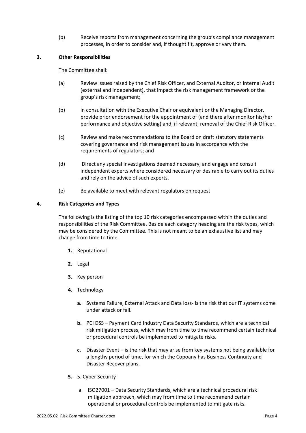(b) Receive reports from management concerning the group's compliance management processes, in order to consider and, if thought fit, approve or vary them.

### **3. Other Responsibilities**

The Committee shall:

- (a) Review issues raised by the Chief Risk Officer, and External Auditor, or Internal Audit (external and independent), that impact the risk management framework or the group's risk management;
- (b) in consultation with the Executive Chair or equivalent or the Managing Director, provide prior endorsement for the appointment of (and there after monitor his/her performance and objective setting) and, if relevant, removal of the Chief Risk Officer.
- (c) Review and make recommendations to the Board on draft statutory statements covering governance and risk management issues in accordance with the requirements of regulators; and
- (d) Direct any special investigations deemed necessary, and engage and consult independent experts where considered necessary or desirable to carry out its duties and rely on the advice of such experts.
- (e) Be available to meet with relevant regulators on request

### **4. Risk Categories and Types**

The following is the listing of the top 10 risk categories encompassed within the duties and responsibilities of the Risk Committee. Beside each category heading are the risk types, which may be considered by the Committee. This is not meant to be an exhaustive list and may change from time to time.

- **1.** Reputational
- **2.** Legal
- **3.** Key person
- **4.** Technology
	- **a.** Systems Failure, External Attack and Data loss- is the risk that our IT systems come under attack or fail.
	- **b.** PCI DSS Payment Card Industry Data Security Standards, which are a technical risk mitigation process, which may from time to time recommend certain technical or procedural controls be implemented to mitigate risks.
	- **c.** Disaster Event is the risk that may arise from key systems not being available for a lengthy period of time, for which the Copoany has Business Continuity and Disaster Recover plans.
- **5.** 5. Cyber Security
	- a. ISO27001 Data Security Standards, which are a technical procedural risk mitigation approach, which may from time to time recommend certain operational or procedural controls be implemented to mitigate risks.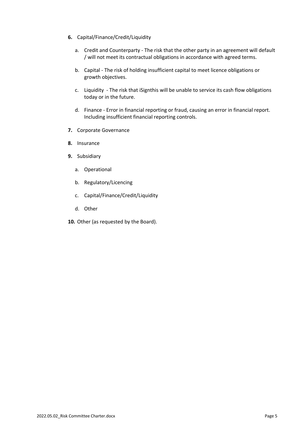- **6.** Capital/Finance/Credit/Liquidity
	- a. Credit and Counterparty The risk that the other party in an agreement will default / will not meet its contractual obligations in accordance with agreed terms.
	- b. Capital The risk of holding insufficient capital to meet licence obligations or growth objectives.
	- c. Liquidity The risk that iSignthis will be unable to service its cash flow obligations today or in the future.
	- d. Finance Error in financial reporting or fraud, causing an error in financial report. Including insufficient financial reporting controls.
- **7.** Corporate Governance
- **8.** Insurance
- **9.** Subsidiary
	- a. Operational
	- b. Regulatory/Licencing
	- c. Capital/Finance/Credit/Liquidity
	- d. Other
- **10.** Other (as requested by the Board).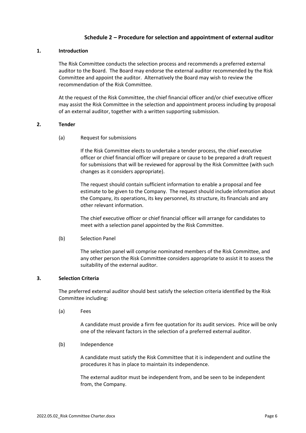## **Schedule 2 – Procedure for selection and appointment of external auditor**

### **1. Introduction**

The Risk Committee conducts the selection process and recommends a preferred external auditor to the Board. The Board may endorse the external auditor recommended by the Risk Committee and appoint the auditor. Alternatively the Board may wish to review the recommendation of the Risk Committee.

At the request of the Risk Committee, the chief financial officer and/or chief executive officer may assist the Risk Committee in the selection and appointment process including by proposal of an external auditor, together with a written supporting submission.

#### **2. Tender**

(a) Request for submissions

If the Risk Committee elects to undertake a tender process, the chief executive officer or chief financial officer will prepare or cause to be prepared a draft request for submissions that will be reviewed for approval by the Risk Committee (with such changes as it considers appropriate).

The request should contain sufficient information to enable a proposal and fee estimate to be given to the Company. The request should include information about the Company, its operations, its key personnel, its structure, its financials and any other relevant information.

The chief executive officer or chief financial officer will arrange for candidates to meet with a selection panel appointed by the Risk Committee.

#### (b) Selection Panel

The selection panel will comprise nominated members of the Risk Committee, and any other person the Risk Committee considers appropriate to assist it to assess the suitability of the external auditor.

### **3. Selection Criteria**

The preferred external auditor should best satisfy the selection criteria identified by the Risk Committee including:

(a) Fees

A candidate must provide a firm fee quotation for its audit services. Price will be only one of the relevant factors in the selection of a preferred external auditor.

(b) Independence

A candidate must satisfy the Risk Committee that it is independent and outline the procedures it has in place to maintain its independence.

The external auditor must be independent from, and be seen to be independent from, the Company.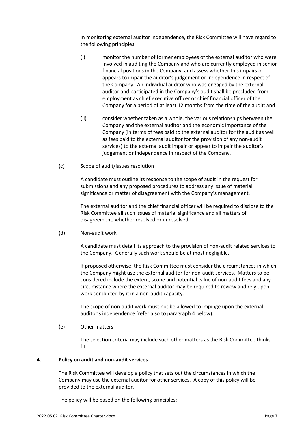In monitoring external auditor independence, the Risk Committee will have regard to the following principles:

- (i) monitor the number of former employees of the external auditor who were involved in auditing the Company and who are currently employed in senior financial positions in the Company, and assess whether this impairs or appears to impair the auditor's judgement or independence in respect of the Company. An individual auditor who was engaged by the external auditor and participated in the Company's audit shall be precluded from employment as chief executive officer or chief financial officer of the Company for a period of at least 12 months from the time of the audit; and
- (ii) consider whether taken as a whole, the various relationships between the Company and the external auditor and the economic importance of the Company (in terms of fees paid to the external auditor for the audit as well as fees paid to the external auditor for the provision of any non-audit services) to the external audit impair or appear to impair the auditor's judgement or independence in respect of the Company.
- (c) Scope of audit/issues resolution

A candidate must outline its response to the scope of audit in the request for submissions and any proposed procedures to address any issue of material significance or matter of disagreement with the Company's management.

The external auditor and the chief financial officer will be required to disclose to the Risk Committee all such issues of material significance and all matters of disagreement, whether resolved or unresolved.

(d) Non-audit work

A candidate must detail its approach to the provision of non-audit related services to the Company. Generally such work should be at most negligible.

If proposed otherwise, the Risk Committee must consider the circumstances in which the Company might use the external auditor for non-audit services. Matters to be considered include the extent, scope and potential value of non-audit fees and any circumstance where the external auditor may be required to review and rely upon work conducted by it in a non-audit capacity.

The scope of non-audit work must not be allowed to impinge upon the external auditor's independence (refer also to paragraph 4 below).

(e) Other matters

The selection criteria may include such other matters as the Risk Committee thinks fit.

#### **4. Policy on audit and non-audit services**

The Risk Committee will develop a policy that sets out the circumstances in which the Company may use the external auditor for other services. A copy of this policy will be provided to the external auditor.

The policy will be based on the following principles: